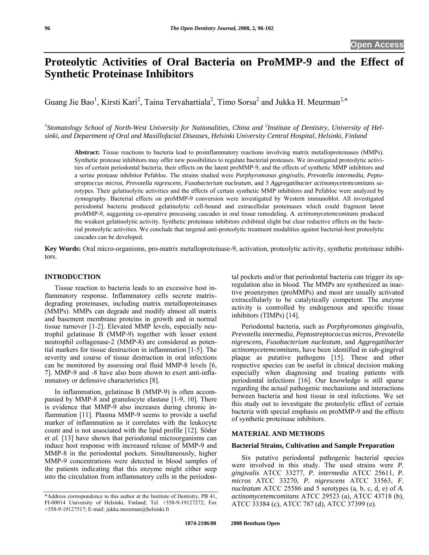# **Proteolytic Activities of Oral Bacteria on ProMMP-9 and the Effect of Synthetic Proteinase Inhibitors**

Guang Jie Bao<sup>1</sup>, Kirsti Kari<sup>2</sup>, Taina Tervahartiala<sup>2</sup>, Timo Sorsa<sup>2</sup> and Jukka H. Meurman<sup>2,\*</sup>

<sup>1</sup> Stomatology School of North-West University for Nationalities, China and <sup>2</sup>Institute of Dentistry, University of Hel*sinki, and Department of Oral and Maxillofacial Diseases, Helsinki University Central Hospital, Helsinki, Finland* 

**Abstract:** Tissue reactions to bacteria lead to proinflammatory reactions involving matrix metalloproteinases (MMPs). Synthetic protease inhibitors may offer new possibilities to regulate bacterial proteases. We investigated proteolytic activities of certain periodontal bacteria, their effects on the latent proMMP-9, and the effects of synthetic MMP inhibitors and a serine protease inhibitor Pefabloc. The strains studied were *Porphyromonas gingivalis*, *Prevotella intermedia*, *Peptostreptoccus micros*, *Prevotella nigrescens*, *Fusobacterium nucleatum*, and 5 *Aggregatibacter actinomycetemcomitans* serotypes. Their gelatinolytic activities and the effects of certain synthetic MMP inhibitors and Pefabloc were analyzed by zymography. Bacterial effects on proMMP-9 conversion were investigated by Western immunoblot. All investigated periodontal bacteria produced gelatinolytic cell-bound and extracellular proteinases which could fragment latent proMMP-9, suggesting co-operative processing cascades in oral tissue remodeling. *A. actinomycetemcomitans* produced the weakest gelatinolytic activity. Synthetic proteinase inhibitors exhibited slight but clear reductive effects on the bacterial proteolytic activities. We conclude that targeted anti-proteolytic treatment modalities against bacterial-host proteolytic cascades can be developed.

**Key Words:** Oral micro-organisms, pro-matrix metalloproteinase-9, activation, proteolytic activity, synthetic proteinase inhibitors.

#### **INTRODUCTION**

 Tissue reaction to bacteria leads to an excessive host inflammatory response. Inflammatory cells secrete matrixdegrading proteinases, including matrix metalloproteinases (MMPs). MMPs can degrade and modify almost all matrix and basement membrane proteins in growth and in normal tissue turnover [1-2]. Elevated MMP levels, especially neutrophil gelatinase B (MMP-9) together with lesser extent neutrophil collagenase-2 (MMP-8) are considered as potential markers for tissue destruction in inflammation [1-5]. The severity and course of tissue destruction in oral infections can be monitored by assessing oral fluid MMP-8 levels [6, 7]. MMP-9 and -8 have also been shown to exert anti-inflammatory or defensive characteristics [8].

 In inflammation, gelatinase B (MMP-9 ) is often accompanied by MMP-8 and granulocyte elastase [1-9, 10]. There is evidence that MMP-9 also increases during chronic inflammation [11]. Plasma MMP-9 seems to provide a useful marker of inflammation as it correlates with the leukocyte count and is not associated with the lipid profile [12]. Söder *et al*. [13] have shown that periodontal microorganisms can induce host response with increased release of MMP-9 and MMP-8 in the periodontal pockets. Simultaneously, higher MMP-9 concentrations were detected in blood samples of the patients indicating that this enzyme might either seep into the circulation from inflammatory cells in the periodon-

\*Address correspondence to this author at the Institute of Dentistry, PB 41, FI-00014 University of Helsinki, Finland; Tel. +358-9-19127272; Fax +358-9-19127517; E-mail: jukka.meurman@helsinki.fi

tal pockets and/or that periodontal bacteria can trigger its upregulation also in blood. The MMPs are synthesized as inactive proenzymes (proMMPs) and most are usually activated extracellularly to be catalytically competent. The enzyme activity is controlled by endogenous and specific tissue inhibitors (TIMPs) [14].

 Periodontal bacteria, such as *Porphyromonas gingivalis, Prevotella intermedia, Peptostreptococcus micros, Prevotella nigrescens, Fusobacterium nucleatum,* and *Aggregatibacter actinomycetemcomitans*, have been identified in sub-gingival plaque as putative pathogens [15]. These and other respective species can be useful in clinical decision making especially when diagnosing and treating patients with periodontal infections [16]. Our knowledge is still sparse regarding the actual pathogenic mechanisms and interactions between bacteria and host tissue in oral infections. We set this study out to investigate the proteolytic effect of certain bacteria with special emphasis on proMMP-9 and the effects of synthetic proteinase inhibitors.

### **MATERIAL AND METHODS**

#### **Bacterial Strains, Cultivation and Sample Preparation**

Six putative periodontal pathogenic bacterial species were involved in this study. The used strains were *P. gi ivalis ng* ATCC 33277, *P. intermedia* ATCC 25611, *P. micros* ATCC 33270, *P. nigrescens* ATCC 33563, *F. nucleatum* ATCC 25586 and 5 serotypes (a, b, c, d, e) of *A. actinomycetemcomitans* ATCC 29523 (a), ATCC 43718 (b), ATCC 33384 (c), ATCC 787 (d), ATCC 37399 (e).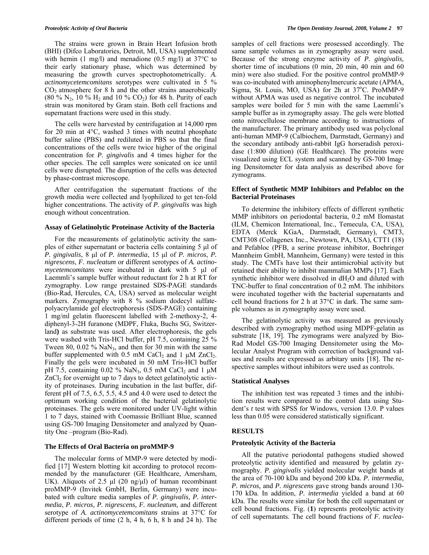The strains were grown in Brain Heart Infusion broth (BHI) (Difco Laboratories, Detroit, MI, USA) supplemented with hemin (1 mg/l) and menadione (0.5 mg/l) at  $37^{\circ}$ C to their early stationary phase, which was determined by measuring the growth curves spectrophotometrically. *A. actinomycetemcomitans* serotypes were cultivated in 5 %  $CO<sub>2</sub>$  atmosphere for 8 h and the other strains anaerobically (80 % N<sub>2</sub>, 10 % H<sub>2</sub> and 10 % CO<sub>2</sub>) for 48 h. Purity of each strain was monitored by Gram stain. Both cell fractions and supernatant fractions were used in this study.

buffer saline (PBS) and rediluted in PBS so that the final concentrations of the cells were twice higher of the original The cells were harvested by centrifugation at 14,000 rpm for 20 min at 4°C, washed 3 times with neutral phosphate concentration for *P. gingivalis* and 4 times higher for the other species. The cell samples were sonicated on ice until cells were disrupted. The disruption of the cells was detected by phase-contrast microscope.

higher concentrations. The activity of *P. gingivalis* was high enough without concentration. After centrifugation the supernatant fractions of the growth media were collected and lyophilized to get ten-fold

#### **Assay of Gelatinolytic Proteinase Activity of the Bacteria**

For the measurements of gelatinolytic activity the samples of either supernatant or bacteria cells containing 5 µl of *P. gingivalis*, 8 µl of *P. intermedia*, 15 µl of *P. micros*, *P. nigrescens*, *F. nucleatum* or different serotypes of *A. actinomycetemcomitans* were incubated in dark with 5 µl of Laemmli's sample buffer without reductant for 2 h at RT for zymography. Low range prestained SDS-PAGE standards (Bio-Rad, Hercules, CA, USA) served as molecular weight markers. Zymography with 8 % sodium dodecyl sulfatepolyacrylamide gel electrophoresis (SDS-PAGE) containing 1 mg/ml gelatin fluorescent labelled with 2-methoxy-2, 4 diphenyl-3-2H furanone (MDPF, Fluka, Buchs SG, Switzerland**)** as substrate was used. After electrophoresis, the gels were washed with Tris-HCl buffer, pH 7.5, containing 25 % Tween 80, 0.02  $\%$  NaN<sub>3</sub>, and then for 30 min with the same buffer supplemented with 0.5 mM CaCl<sub>2</sub> and 1  $\mu$ M ZnCl<sub>2</sub>. Finally the gels were incubated in 50 mM Tris-HCl buffer pH 7.5, containing 0.02 % NaN<sub>3</sub>, 0.5 mM CaCl<sub>2</sub> and 1  $\mu$ M  $ZnCl<sub>2</sub>$  for overnight up to 7 days to detect gelatinolytic activity of proteinases. During incubation in the last buffer, different pH of 7.5, 6.5, 5.5, 4.5 and 4.0 were used to detect the optimum working condition of the bacterial gelatinolytic proteinases. The gels were monitored under UV-light within 1 to 7 days, stained with Coomassie Brilliant Blue, scanned using GS-700 Imaging Densitometer and analyzed by Quantity One –program (Bio-Rad).

#### **The Effects of Oral Bacteria on proMMP-9**

The molecular forms of MMP-9 were detected by modified [17] Western blotting kit according to protocol recom mended by the manufacturer (GE Healthcare, Amersham, UK). Aliquots of 2.5  $\mu$ l (20 ng/ $\mu$ l) of human recombinant proMMP-9 (Invitek GmbH, Berlin, Germany) were incubated with culture media samples of *P. gingivalis*, *P. intermedia*, *P. micros, P. nigrescens, F. nucleatum,* and different serotype of *A. actinomycetemcomitans* strains at 37°C for different periods of time (2 h, 4 h, 6 h, 8 h and 24 h). The

samples of cell fractions were prosessed accordingly. The same sample volumes as in zymography assay were used. Because of the strong enzyme activity of *P. gingivalis,*  shorter time of incubations (0 min, 20 min, 40 min and 60 min) were also studied. For the positive control proMMP-9 was co-incubated with aminophenylmercuric acetate (APMA, Sigma, St. Louis, MO, USA) for 2h at 37°C. ProMMP-9 without APMA was used as negative control. The incubated samples were boiled for 5 min with the same Laemmli's sample buffer as in zymography assay. The gels were blotted onto nitrocellulose membrane according to instructions of the manufacturer. The primary antibody used was polyclonal anti-human MMP-9 (Calbiochem, Darmstadt, Germany) and the secondary antibody anti-rabbit IgG horseradish peroxidase (1:800 dilution) (GE Healthcare). The proteins were visualized using ECL system and scanned by GS-700 Imaging Densitometer for data analysis as described above for zymograms.

#### **Effect of Synthetic MMP Inhibitors and Pefabloc on the Bacterial Proteinases**

To determine the inhibitory effects of different synthetic EDTA (Merck KGaA, Darmstadt, Germany), CMT3, MMP inhibitors on periodontal bacteria, 0.2 mM Ilomastat (ILM, Chemicon International, Inc., Temecula, CA, USA), CMT308 (Collagenex Inc., Newtown, PA, USA), CTT1 (18) and Pefabloc (PFB, a serine protease inhibitor, Boehringer Mannheim GmbH, Mannheim, Germany) were tested in this study. The CMTs have lost their antimicrobial activity but retained their ability to inhibit mammalian MMPs [17]. Each synthetic inhibitor were dissolved in dH<sub>2</sub>O and diluted with TNC-buffer to final concentration of 0.2 mM. The inhibitors were incubated together with the bacterial supernatants and cell bound fractions for 2 h at 37°C in dark. The same sample volumes as in zymography assay were used.

Rad Model GS-700 Imaging Densitometer using the Mo- The gelatinolytic activity was measured as previously described with zymography method using MDPF-gelatin as substrate [18, 19]. The zymograms were analyzed by Biolecular Analyst Program with correction of background values and results are expressed as arbitary units [18]. The respective samples without inhibitors were used as controls.

#### **Statistical Analyses**

dent's *t* test with SPSS for Windows, version 13.0. P values less than 0.05 were considered statistically significant. The inhibition test was repeated 3 times and the inhibition results were compared to the control data using Stu-

#### **RESULTS**

#### **Proteolytic Activity of the Bacteria**

All the putative periodontal pathogens studied showed proteolytic activity identified and measured by gelatin zymography. *P. gingivalis* yielded molecular weight bands at the area of 70-100 kDa and beyond 200 kDa. *P. intermedia*, P. micros, and P. nigrescens gave strong bands around 130-170 kDa. In addition, *P. intermedia* yielded a band at 60 kDa. The results were similar for both the cell supernatant or cell bound fractions. Fig. (**1**) represents proteolytic activity of cell supernatants. The cell bound fractions of *F. nuclea-*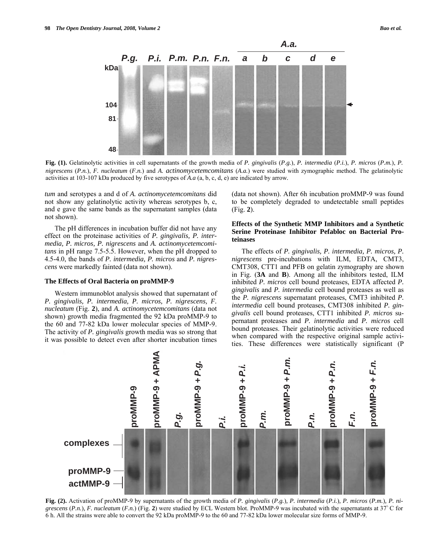

**Fig. (1).** Gelatinolytic activities in cell supernatants of the growth media of *P. gingivalis* (*P.g.*), *P. intermedia* (*P.i.*), *P. micros* (*P.m.*), *P. nigrescens* (*P.n.*), *F. nucleatum* (*F.n.*) and *A. actinomycetemcomitans* (*A.a.*) were studied with zymographic method. The gelatinolytic activities at 103-107 kDa produced by five serotypes of *A.a* (a, b, c, d, e) are indicated by arrow*.* 

*tum* and serotypes a and d of *A. actinomycetemcomitans* did not show any gelatinolytic activity whereas serotypes b, c, and e gave the same bands as the supernatant samples (data not shown).

 The pH differences in incubation buffer did not have any effect on the proteinase activities of *P. gingivalis, P. intermedia, P. micros, P. nigrescens* and *A. actinomycetemcomitans* in pH range 7.5-5.5. However, when the pH dropped to 4.5-4.0, the bands of *P. intermedia, P. micros* and *P. nigrescens* were markedly fainted (data not shown).

#### **The Effects of Oral Bacteria on proMMP-9**

shown) growth media fragmented the 92 kDa proMMP-9 to the 60 and 77-82 kDa lower molecular species of MMP-9. The activity of *P. gingivalis* growth media was so strong that Western immunoblot analysis showed that supernatant of *P. gingivalis, P. intermedia, P. micros, P. nigrescens, F. nucleatum* (Fig. **2**), and *A. actinomycetemcomitans* (data not it was possible to detect even after shorter incubation times

(data not shown). After 6h incubation proMMP-9 was found to be completely degraded to undetectable small peptides (Fig. **2**).

#### **Effects of the Synthetic MMP Inhibitors and a Synthetic Serine Proteinase Inhibitor Pefabloc on Bacterial Proteinases**

nigrescens pre-incubations with ILM, EDTA, CMT3, gingivalis and P. intermedia cell bound proteases as well as The effects of *P. gingivalis, P. intermedia, P. micros, P.*  CMT308, CTT1 and PFB on gelatin zymography are shown in Fig. (**3A** and **B**). Among all the inhibitors tested, ILM inhibited *P. micros* cell bound proteases, EDTA affected *P.*  the *P. nigrescens* supernatant proteases, CMT3 inhibited *P. intermedia* cell bound proteases, CMT308 inhibited *P. gingivalis* cell bound proteases, CTT1 inhibited *P. micros* supernatant proteases and *P. intermedia* and *P. micros* cell bound proteases. Their gelatinolytic activities were reduced when compared with the respective original sample activities. These differences were statistically significant (P



**Fig. (2).** Activation of proMMP-9 by supernatants of the growth media of *P. gingivalis* (*P.g.*)*, P. intermedia* (*P.i.*)*, P. micros* (*P.m.*)*, P. nigrescens (P.n.), F. nucleatum (F.n.)* (Fig. 2) were studied by ECL Western blot. ProMMP-9 was incubated with the supernatants at 37<sup></sup>°C for 6 h. All the strains were able to convert the 92 kDa proMMP-9 to the 60 and 77-82 kDa lower molecular size forms of MMP-9.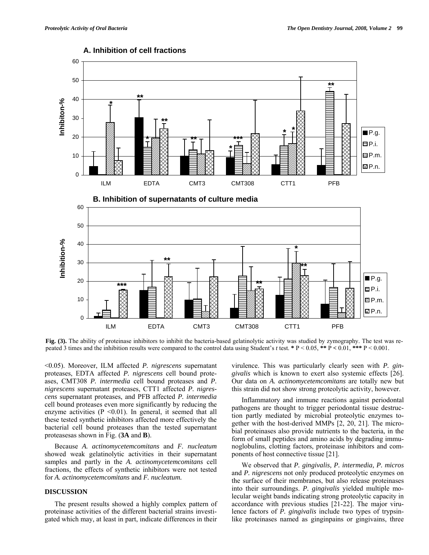

## **A. Inhibition of cell fractions**

**Fig. (3).** The ability of proteinase inhibitors to inhibit the bacteria-based gelatinolytic activity was studied by zymography. The test was repeated 3 times and the inhibition results were compared to the control data using Student's *t* test.  $* P < 0.05$ ,  $** P < 0.01$ ,  $*** P < 0.001$ .

ILM EDTA CMT3 CMT308 CTT1 PFB

<0.05). Moreover, ILM affected *P. nigrescens* supernatant proteases, EDTA affected *P. nigrescens* cell bound proteases, CMT308 *P. intermedia* cell bound proteases and *P. nigrescens* supernatant proteases, CTT1 affected *P. nigrescens* supernatant proteases, and PFB affected *P. intermedia*  cell bound proteases even more significantly by reducing the enzyme activities  $(P \le 0.01)$ . In general, it seemed that all these tested synthetic inhibitors affected more effectively the bacterial cell bound proteases than the tested supernatant proteasesas shown in Fig. (**3A** and **B**).

 Because *A. actinomycetemcomitans* and *F. nucleatum* showed weak gelatinolytic activities in their supernatant samples and partly in the *A. actinomycetemcomitans* cell fractions, the effects of synthetic inhibitors were not tested for *A. actinomycetemcomitans* and *F. nucleatum.*

#### **DISCUSSION**

 The present results showed a highly complex pattern of proteinase activities of the different bacterial strains investigated which may, at least in part, indicate differences in their

virulence. This was particularly clearly seen with *P. gingivalis* which is known to exert also systemic e ffects [26]. Our data on *A. actinomycetemcomitans* are totally new but this strain did not show strong proteolytic activity, however.

ponents of host connective tissue [21]. Inflammatory and immune reactions against periodontal pathogens are thought to trigger periodontal tissue destruction partly mediated by microbial proteolytic enzymes together with the host-derived MMPs [2, 20, 21]. The microbial proteinases also provide nutrients to the bacteria, in the form of small peptides and amino acids by degrading immunoglobulins, clotting factors, proteinase inhibitors and com-

lence factors of *P. gingivalis* include two types of trypsinlike proteinases named as ginginpains or gingivains, three We observed that *P. gingivalis, P. intermedia, P. micros* and *P. nigrescens* not only produced proteolytic enzymes on the surface of their membranes, but also release proteinases into their surroundings. *P. gingivalis* yielded multiple molecular weight bands indicating strong proteolytic capacity in accordance with previous studies [21-22]. The major viru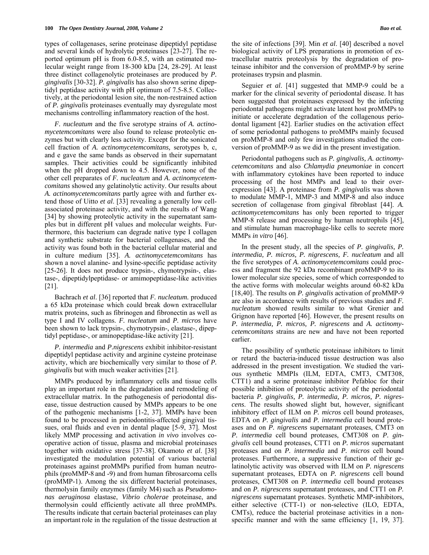types of collagenases, serine proteinase dipeptidyl peptidase and several kinds of hydrolytic proteinases [23-27]. The reported optimum pH is from 6.0-8.5, with an estimated molecular weight range from 18-300 kDa [24, 28-29]. At least three distinct collagenolytic proteinases are produced by *P. gingivalis* [30-32]. *P. gingivalis* has also shown serine dipeptidyl peptidase activity with pH optimum of 7.5-8.5. Collectively, at the periodontal lesion site, the non-restrained action of *P. gingivalis* proteinases eventually may dysregulate most mechanisms controlling inflammatory reaction of the host.

 *F. nucleatum* and the five serotype strains of *A. actinomycetemcomitans* were also found to release proteolytic enzymes but with clearly less activity. Except for the sonicated cell fraction of *A. actinomycetemcomitans,* serotypes b, c, and e gave the same bands as observed in their supernatant samples. Their activities could be significantly inhibited when the pH dropped down to 4.5. However, none of the other cell preparates of *F. nucleatum* and *A. actinomycetemcomitans* showed any gelatinolytic activity. Our results about *A. actinomycetemcomitans* partly agree with and further extend those of Uitto *et al*. [33] revealing a generally low cellassociated proteinase activity, and with the results of Wang [34] by showing proteolytic activity in the supernatant samples but in different pH values and molecular weights. Furthermore, this bacterium can degrade native type I collagen and synthetic substrate for bacterial collagenases, and the activity was found both in the bacterial cellular material and in culture medium [35]. *A. actinomycetemcomitans* has shown a novel alanine- and lysine-specific peptidase activity [25-26]. It does not produce trypsin-, chymotrypsin-, elastase-, dipeptidylpeptidase- or amimopeptidase-like activities [21].

 Bachrach *et al*. [36] reported that *F. nucleatum.* produced a 65 kDa proteinase which could break down extracellular matrix proteins, such as fibrinogen and fibronectin as well as type I and IV collagens. *F. nucleatum* and *P. micros* have been shown to lack trypsin-, chymotrypsin-, elastase-, dipeptidyl peptidase-, or aminopeptidase-like activity [21].

dipeptidyl peptidase activity and arginine cysteine proteinase  *P. intermedia* and *P.nigrescens* exhibit inhibitor-resistant activity, which are biochemically very similar to those of *P. gingivalis* but with much weaker activities [21].

operative action of tissue, plasma and microbial proteinases together with oxidative stress [37-38]. Okamoto *et al.* [38] MMPs produced by inflammatory cells and tissue cells play an important role in the degradation and remodeling of extracellular matrix. In the pathogenesis of periodontal disease, tissue destruction caused by MMPs appears to be one of the pathogenic mechanisms [1-2, 37]. MMPs have been found to be processed in periodontitis-affected gingival tissues, oral fluids and even in dental plaque [5-9, 37]. Most likely MMP processing and activation *in vivo* involves coinvestigated the modulation potential of various bacterial proteinases against proMMPs purified from human neutrophils (proMMP-8 and -9) and from human fibrosarcoma cells (proMMP-1). Among the six different bacterial proteinases, thermolysin family enzymes (family M4) such as *Pseudomonas aeruginosa* elastase, *Vibrio cholerae* proteinase, and thermolysin could efficiently activate all three proMMPs. The results indicate that certain bacterial proteinases can play an important role in the regulation of the tissue destruction at

version of proMMP-9 as we did in the present investigation. Seguier *et al*. [41] suggested that MMP-9 could be a marker for the clinical severity of periodontal disease. It has been suggested that proteinases expressed by the infecting periodontal pathogens might activate latent host proMMPs to initiate or accelerate degradation of the collagenous periodontal ligament [42]. Earlier studies on the activation effect of some periodontal pathogens to proMMPs mainly focused on proMMP-8 and only few investigations studied the con-

and stimulate human macrophage-like cells to secrete more Periodontal pathogens such as *P. gingivalis, A. actinomycetemcomitans* and also *Chlamydia pneumoniae* in concert with inflammatory cytokines have been reported to induce processing of the host MMPs and lead to their overexpression [43]. A proteinase from *P. gingivalis* was shown to modulate MMP-1, MMP-3 and MMP-8 and also induce secretion of collagenase from gingival fibroblast [44]. *A. actinomycetemcomitans* has only been reported to trigger MMP-8 release and processing by human neutrophils [45], MMPs *in vitro* [46].

Grignon have reported [46]. However, the present results on In the present study, all the species of *P. gingivalis, P. intermedia, P. micros, P. nigrescens, F. nucleatum* and all the five serotypes of *A. actinomycetemcomitans* could process and fragment the 92 kDa recombinant proMMP-9 to its lower molecular size species, some of which corresponded to the active forms with molecular weights around 60-82 kDa [18,40]. The results on *P. gingivalis* activation of proMMP-9 are also in accordance with results of previous studies and *F. nucleatum* showed results similar to what Grenier and *P. intermedia, P. micros, P. nigrescens* and *A. actinomycetemcomitans* strains are new and have not been reported earlier.

EDTA on *P. gingivalis* and *P. intermedia* cell bound prote- The possibility of synthetic proteinase inhibitors to limit or retard the bacteria-induced tissue destruction was also addressed in the present investigation. We studied the various synthetic MMPIs (ILM, EDTA, CMT3, CMT308, CTT1) and a serine proteinase inhibitor Pefabloc for their possible inhibition of proteolytic activity of the periodontal bacteria *P. gingivalis, P. intermedia, P. micros, P. nigrescens*. The results showed slight but, however, significant inhibitory effect of ILM on *P. micros* cell bound proteases, ases and on *P. nigrescens* supernatant proteases, CMT3 on *P. intermedia* cell bound proteases, CMT308 on *P. gingivalis* cell bound proteases, CTT1 on *P. micros* supernatant proteases and on *P. intermedia* and *P. micros* cell bound proteases. Furthermore, a suppressive function of their gelatinolytic activity was observed with ILM on *P. nigrescens* supernatant proteases, EDTA on *P. nigrescens* cell bound proteases, CMT308 on *P. intermedia* cell bound proteases and on *P. nigrescens* supernatant proteases, and CTT1 on *P. nigrescens* supernatant proteases. Synthetic MMP-inhibitors, either selective (CTT-1) or non-selective (ILO, EDTA, CMTs), reduce the bacterial proteinase activities in a nonspecific manner and with the same efficiency [1, 19, 37].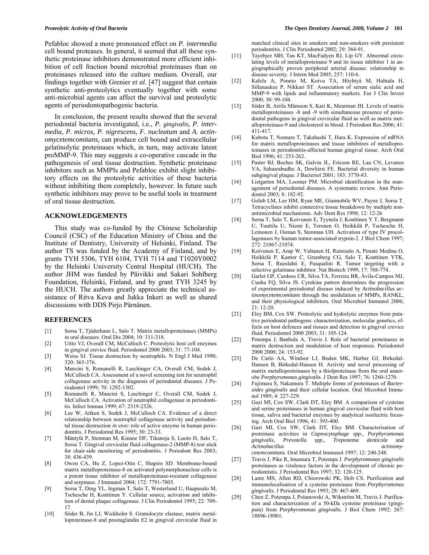Pefabloc showed a more pronounced effect on *P. intermedia* cell bound proteases. In general, it seemed that all these synthetic proteinase inhibitors demonstrated more efficient inhibition of cell fraction bound microbial proteinases than on proteinases released into the culture medium. Overall, our findings together with Grenier *et al*. [47] suggest that certain synthetic anti-proteolytics eventually together with some anti-microbial agents can affect the survival and proteolytic agents of periodontopathogenic bacteria.

 In conclusion, the present results showed that the several periodontal bacteria investigated, i.e., *P. gingivalis, P. intermedia, P. micros, P. nigrescens, F. nucleatum* and *A. actinomycetemcomitans,* can produce cell bound and extracellular gelatinolytic proteinases which, in turn, may activate latent proMMP-9. This may suggests a co-operative cascade in the pathogenesis of oral tissue destruction. Synthetic proteinase inhibitors such as MMPIs and Pefabloc exhibit slight inhibitory effects on the proteolytic activities of these bacteria without inhibiting them completely, however. In future such synthetic inhibitors may prove to be useful tools in treatment of oral tissue destruction.

#### **ACKNOWLEDGEMENTS**

Foundation, Helsinki, Finland, and by grant TYH 3245 by the HUCH. The authors greatly appreciate the technical assistance of Ritva Keva and Jukka Inkeri as well as shared This study was co-funded by the Chinese Scholarship Council (CSC) of the Education Ministry of China and the Institute of Dentistry, University of Helsinki, Finland. The author TS was funded by the Academy of Finland, and by grants TYH 5306, TYH 6104, TYH 7114 and T1020Y0002 by the Helsinki University Central Hospital (HUCH). The author JHM was funded by Päivikki and Sakari Sohlberg discussions with DDS Pirjo Pärnänen.

#### **REFERENCES**

- [1] Sorsa T, Tjäderhane L, Salo T. Matrix metalloproteinases (MMPs) in oral diseases. Oral Dis 2004; 10: 311-318.
- [2] Uitto VJ, Overall CM, McCulloch C. Proteolytic host cell enzymes in gingival crevice fluid. Periodontol 2000 2003; 31: 77-104.
- [3] Weiss SJ. Tissue destruction by neutrophils. N Engl J Med 1990; 320: 365-376.
- collagenase activity in the diagnosis of periodontal diseases. J Pe-[4] Mancini S, Romanelli R, Laschinger CA, Overall CM, Sodek J, McCulloch CA. Assessment of a novel screening test for neutrophil riodontol 1999; 70: 1292-1302.
- [5] Romanelli R, Mancini S, Laschinger C, Overall CM, Sodek J, McCulloch CA. Activation of neutrophil collagenase in periodontitis. Infect Immun 1999; 67: 2319-2326.
- [6] Lee W, Aitken S, Sodek J, McCulloch CA. Evidence of a direct relationship between neutrophil collagenase activity and periodontal tissue destruction *in vivo*: role of active enzyme in human periodontitis. J Periodontal Res 1995; 30: 23-33.
- [7] Mäntylä P, Stenman M, Kinane DF, Tikanoja S, Luoto H, Salo T, Sorsa T. Gingival crevicular fluid collagenase-2 (MMP-8) test stick for chair-side monitoring of periodontitis. J Periodont Res 2003; 38: 436-439.
- [8] Owen CA, Hu Z, Lopez-Otin C, Shapiro SD. Membrane-bound matrix metalloproteinase-8 on activated polymorphonuclear cells is a potent tissue inhibitor of metalloproteinase-resistant collagenase and serpinase. J Immunol 2004; 172: 7791-7803.
- [9] Sorsa T, Ding YL, Ingman T, Salo T, Westerlund U, Haapasalo M, Tschesche H, Konttinen Y. Cellular source, activation and inhibition of dental plaque collagenase. J Clin Periodontol 1995; 22: 709- 17.
- [10] Söder B, Jin LJ, Wickholm S. Granulocyte elastase, matrix metalloproteinase-8 and prostaglandin E2 in gingival crevicular fluid in

periodontitis. J Clin Periodontol 2002; 29: 384-91. matched clinical sites in smokers and non-smokers with persistent

- [11] Tayebjee MH, Tan KT, MacFadyen RJ, Lip GY. Abnormal circulating levels of metalloproteinase 9 and its tissue inhibitor 1 in angiographically proven peripheral arterial disease: relationship to disease severity. J Intern Med 2005; 257: 110-6.
- 2000; 30: 99-104. [12] Kalela A, Ponnio M, Koivu TA, Höyhtyä M, Huhtala H, Sillanaukee P, Nikkari ST. Association of serum sialic acid and MMP-9 with lipids and inflammatory markers. Eur J Clin Invest
- alloproteinase-9 and cholesterol in blood. J Periodont Res 2006; 41: [13] Söder B, Airila Månsson S, Kari K, Meurman JH. Levels of matrix metalloproteinases -8 and -9 with simultaneous presence of periodontal pathogens in gingival crevicular fluid as well as matrix met-411-417.
- [14] teinases in periodontitis-affected human gingival tissue. Arch Oral Kubota T, Nomura T, Takahashi T, Hara K. Expression of mRNA for matrix metalloproteinases and tissue inhibitors of metallopro-Biol 1996; 41: 253-262.
- [15] subgingival plaque. J Bacteriol 2001; 183: 3770-83. Paster BJ, Boches SK, Galvin JL, Ericson RE, Lau CN, Levanos VA, Sahasrabudhe A, Dewhirst FE. Bacterial diversity in human
- [16] Listgarten MA, Loomer PM. Microbial identification in the management of periodontal diseases. A systematic review. Ann Periodontol 2003; 8: 182-92.
- [17] Tetracyclines inhibit connective tissue breakdown by multiple non-Golub LM, Lee HM, Ryan ME, Giannobile WV, Payne J, Sorsa T. antimicrobial mechanisms. Adv Dent Res 1998; 12: 12-26
- [18] Leinonen J, Osman S, Stenman UH. Activation of type IV procol-Sorsa T, Salo T, Koivunen E, Tyynela J, Konttinen Y T, Bergmann U, Tuuttila U, Niemi E, Teronen O, Heikkilä P, Tschesche H, lagenases by human tumor-associated trypsin-2. J Biol Chem 1997; 272: 21067-21074.
- [19] Koivunen E, Arap W, Valtanen H, Rainisalo A, Penate Medina O, selective gelatinase inhibitor. Nat Biotech 1999; 17: 768-774. Heikkilä P, Kantor C, Gramberg CG, Salo T, Konttinen YTK, Sorsa T, Ruoslahti E, Pasqualini R. Tumor targeting with a
- of experimental periodontal disease induced by *Actinobacillus ac-*[20] Garlet GP, Cardoso CR, Silva TA, Ferreira BR, Ávila-Campos MJ, Cunha FQ, Silva JS. Cytokine pattern determines the progression *tinomycetemcomitans* through the modulation of MMPs, RANKL, and their physiological inhibitors*.* Oral Microbiol Immunol 2006;  $21 \cdot 12 - 20$
- [21] tive periodontal pathogens: characterization, molecular genetics, ef-Eley BM, Cox SW. Proteolytic and hydrolytic enzymes from putafects on host defences and tissues and detection in gingival crevice fluid. Periodontol 2000 2003; 31: 105-124.
- [22] matrix destruction and modulation of host responses. Periodontol Potempa J, Banbula A, Travis J. Role of bacterial proteinases in 2000 2000; 24: 153-92.
- [23] De Carlo AA, Windsor LJ, Boden MK, Harber GJ, Birkedal-Hansen B, Birkedal-Hansen H. Activity and novel processing of matrix metalloproteinases by a thiolproteinase from the oral anaerobe *Porphyromonas gingivalis.* J Dent Res 1997; 76: 1260-1270.
- [24] Fujimura S, Nakamura T. Multiple forms of proteinases of *Bacteroides gingivalis* and their cellular location. Oral Microbiol Immunol 1989; 4: 227-229.
- [25] and serine proteinases in human gingival crevicular fluid with host Gazi MI, Cox SW, Clark DT, Eley BM. A comparison of cysteine tissue, saliva and bacterial enzymes by analytical isoelectric focusing. Arch Oral Biol 1996; 41: 393-400.
- [26] Gazi MI, Cox SW, Clark DT, Eley BM. Characterisation of proteinase activities in *Capnocytophage spp., Porphyromonas gingivalis, Prevotella spp., Treponema denticola* and *Actinobacillus actinomy-*

*cetemcomitans*. Oral Microbiol Immunol 1997; 12: 240-248. [27] Travis J, Pike R, Imamura T, Potempa J. *Porphyromonas gingivalis*

- riodontistis. J Periodontal Res 1997; 32: 120-125. proteinases as virulence factors in the development of chronic pe-
- [28] Lantz MS, Allen RD, Chiorowski PK, Holt CS. Purification and immunolocalisation of a cysteine proteinase from *Porphyromonas gingivalis*. J Periodontal Res 1993; 28: 467-469.
- [29] Chen Z, Potempa J, Polanowski A, Wikström M, Travis J. Purification and characterization of a 50-kDa cysteine proteinase (gingipain) from *Porphyromonas gingivalis.* J Biol Chem 1992; 267: 18896-18901.